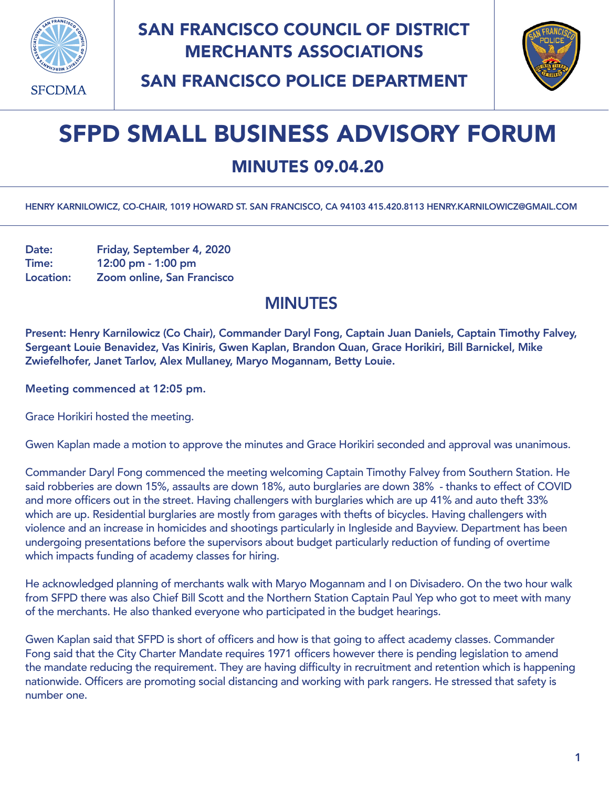

## SAN FRANCISCO COUNCIL OF DISTRICT MERCHANTS ASSOCIATIONS



SAN FRANCISCO POLICE DEPARTMENT

## SFPD SMALL BUSINESS ADVISORY FORUM

## MINUTES 09.04.20

HENRY KARNILOWICZ, CO-CHAIR, 1019 HOWARD ST. SAN FRANCISCO, CA 94103 415.420.8113 [HENRY.KARNILOWICZ@GMAIL.COM](mailto:henry.karnilowicz@gmail.com)

Date: Friday, September 4, 2020 Time: 12:00 pm - 1:00 pm Location: Zoom online, San Francisco

## MINUTES

Present: Henry Karnilowicz (Co Chair), Commander Daryl Fong, Captain Juan Daniels, Captain Timothy Falvey, Sergeant Louie Benavidez, Vas Kiniris, Gwen Kaplan, Brandon Quan, Grace Horikiri, Bill Barnickel, Mike Zwiefelhofer, Janet Tarlov, Alex Mullaney, Maryo Mogannam, Betty Louie.

Meeting commenced at 12:05 pm.

Grace Horikiri hosted the meeting.

Gwen Kaplan made a motion to approve the minutes and Grace Horikiri seconded and approval was unanimous.

Commander Daryl Fong commenced the meeting welcoming Captain Timothy Falvey from Southern Station. He said robberies are down 15%, assaults are down 18%, auto burglaries are down 38% - thanks to effect of COVID and more officers out in the street. Having challengers with burglaries which are up 41% and auto theft 33% which are up. Residential burglaries are mostly from garages with thefts of bicycles. Having challengers with violence and an increase in homicides and shootings particularly in Ingleside and Bayview. Department has been undergoing presentations before the supervisors about budget particularly reduction of funding of overtime which impacts funding of academy classes for hiring.

He acknowledged planning of merchants walk with Maryo Mogannam and I on Divisadero. On the two hour walk from SFPD there was also Chief Bill Scott and the Northern Station Captain Paul Yep who got to meet with many of the merchants. He also thanked everyone who participated in the budget hearings.

Gwen Kaplan said that SFPD is short of officers and how is that going to affect academy classes. Commander Fong said that the City Charter Mandate requires 1971 officers however there is pending legislation to amend the mandate reducing the requirement. They are having difficulty in recruitment and retention which is happening nationwide. Officers are promoting social distancing and working with park rangers. He stressed that safety is number one.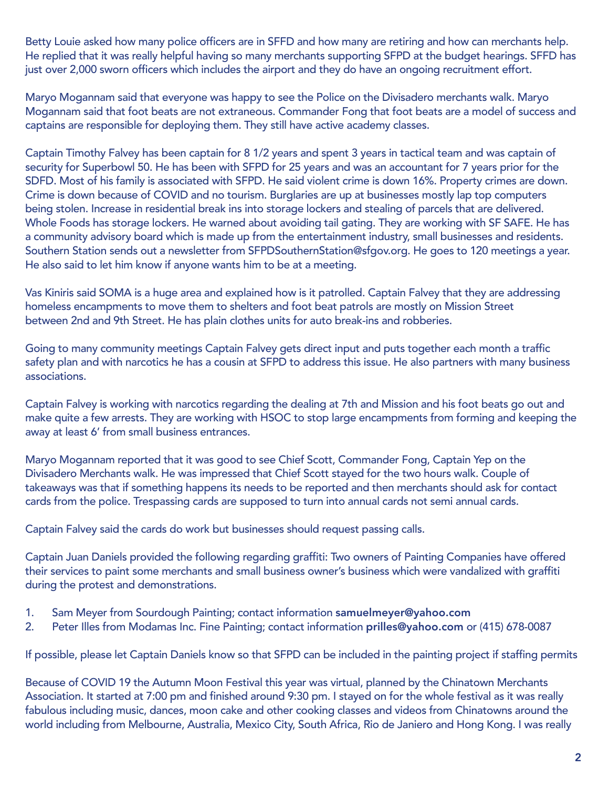Betty Louie asked how many police officers are in SFFD and how many are retiring and how can merchants help. He replied that it was really helpful having so many merchants supporting SFPD at the budget hearings. SFFD has just over 2,000 sworn officers which includes the airport and they do have an ongoing recruitment effort.

Maryo Mogannam said that everyone was happy to see the Police on the Divisadero merchants walk. Maryo Mogannam said that foot beats are not extraneous. Commander Fong that foot beats are a model of success and captains are responsible for deploying them. They still have active academy classes.

Captain Timothy Falvey has been captain for 8 1/2 years and spent 3 years in tactical team and was captain of security for Superbowl 50. He has been with SFPD for 25 years and was an accountant for 7 years prior for the SDFD. Most of his family is associated with SFPD. He said violent crime is down 16%. Property crimes are down. Crime is down because of COVID and no tourism. Burglaries are up at businesses mostly lap top computers being stolen. Increase in residential break ins into storage lockers and stealing of parcels that are delivered. Whole Foods has storage lockers. He warned about avoiding tail gating. They are working with SF SAFE. He has a community advisory board which is made up from the entertainment industry, small businesses and residents. Southern Station sends out a newsletter from [SFPDSouthernStation@sfgov.org.](mailto:SFPDSouthernStation@sfgov.org) He goes to 120 meetings a year. He also said to let him know if anyone wants him to be at a meeting.

Vas Kiniris said SOMA is a huge area and explained how is it patrolled. Captain Falvey that they are addressing homeless encampments to move them to shelters and foot beat patrols are mostly on Mission Street between 2nd and 9th Street. He has plain clothes units for auto break-ins and robberies.

Going to many community meetings Captain Falvey gets direct input and puts together each month a traffic safety plan and with narcotics he has a cousin at SFPD to address this issue. He also partners with many business associations.

Captain Falvey is working with narcotics regarding the dealing at 7th and Mission and his foot beats go out and make quite a few arrests. They are working with HSOC to stop large encampments from forming and keeping the away at least 6' from small business entrances.

Maryo Mogannam reported that it was good to see Chief Scott, Commander Fong, Captain Yep on the Divisadero Merchants walk. He was impressed that Chief Scott stayed for the two hours walk. Couple of takeaways was that if something happens its needs to be reported and then merchants should ask for contact cards from the police. Trespassing cards are supposed to turn into annual cards not semi annual cards.

Captain Falvey said the cards do work but businesses should request passing calls.

Captain Juan Daniels provided the following regarding graffiti: Two owners of Painting Companies have offered their services to paint some merchants and small business owner's business which were vandalized with graffiti during the protest and demonstrations.

- 1. Sam Meyer from Sourdough Painting; contact information [samuelmeyer@yahoo.com](mailto:samuelmeyer@yahoo.com)
- 2. Peter Illes from Modamas Inc. Fine Painting; contact information [prilles@yahoo.com](mailto:prilles@yahoo.com) or (415) 678-0087

If possible, please let Captain Daniels know so that SFPD can be included in the painting project if staffing permits

Because of COVID 19 the Autumn Moon Festival this year was virtual, planned by the Chinatown Merchants Association. It started at 7:00 pm and finished around 9:30 pm. I stayed on for the whole festival as it was really fabulous including music, dances, moon cake and other cooking classes and videos from Chinatowns around the world including from Melbourne, Australia, Mexico City, South Africa, Rio de Janiero and Hong Kong. I was really